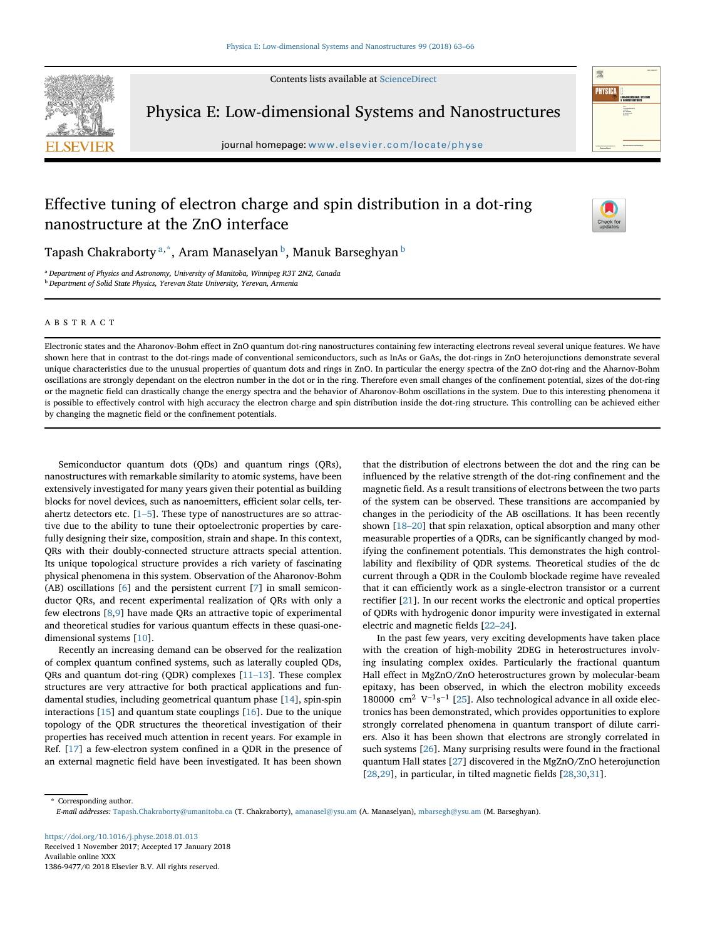Contents lists available at [ScienceDirect](http://www.sciencedirect.com/science/journal/)



Physica E: Low-dimensional Systems and Nanostructures

journal homepage: [www.elsevier.com/locate/physe](http://www.elsevier.com/locate/physe)

# **PHYSIC**

# [Effective tuning of electron charge and spin distribution in a dot-ring](http://crossmark.crossref.org/dialog/?doi=10.1016/j.physe.2018.01.013&domain=pdf) nanostructure at the ZnO interface



Tapash Chakraborty<sup>[a,](#page-0-0)\*</sup>, Aram Manaselyan<sup>[b](#page-0-2)</sup>, Manuk Barseghyan<sup>b</sup>

<span id="page-0-2"></span><span id="page-0-0"></span><sup>a</sup> *Department of Physics and Astronomy, University of Manitoba, Winnipeg R3T 2N2, Canada* <sup>b</sup> *Department of Solid State Physics, Yerevan State University, Yerevan, Armenia*

## ABSTRACT

Electronic states and the Aharonov-Bohm effect in ZnO quantum dot-ring nanostructures containing few interacting electrons reveal several unique features. We have shown here that in contrast to the dot-rings made of conventional semiconductors, such as InAs or GaAs, the dot-rings in ZnO heterojunctions demonstrate several unique characteristics due to the unusual properties of quantum dots and rings in ZnO. In particular the energy spectra of the ZnO dot-ring and the Aharnov-Bohm oscillations are strongly dependant on the electron number in the dot or in the ring. Therefore even small changes of the confinement potential, sizes of the dot-ring or the magnetic field can drastically change the energy spectra and the behavior of Aharonov-Bohm oscillations in the system. Due to this interesting phenomena it is possible to effectively control with high accuracy the electron charge and spin distribution inside the dot-ring structure. This controlling can be achieved either by changing the magnetic field or the confinement potentials.

Semiconductor quantum dots (QDs) and quantum rings (QRs), nanostructures with remarkable similarity to atomic systems, have been extensively investigated for many years given their potential as building blocks for novel devices, such as nanoemitters, efficient solar cells, terahertz detectors etc.  $[1-5]$ . These type of nanostructures are so attractive due to the ability to tune their optoelectronic properties by carefully designing their size, composition, strain and shape. In this context, QRs with their doubly-connected structure attracts special attention. Its unique topological structure provides a rich variety of fascinating physical phenomena in this system. Observation of the Aharonov-Bohm (AB) oscillations [\[6\]](#page-2-1) and the persistent current [\[7\]](#page-2-2) in small semiconductor QRs, and recent experimental realization of QRs with only a few electrons [\[8](#page-2-3)[,9\]](#page-2-4) have made QRs an attractive topic of experimental and theoretical studies for various quantum effects in these quasi-onedimensional systems [\[10\]](#page-3-0).

Recently an increasing demand can be observed for the realization of complex quantum confined systems, such as laterally coupled QDs, QRs and quantum dot-ring (QDR) complexes [\[11–13\]](#page-3-1). These complex structures are very attractive for both practical applications and fundamental studies, including geometrical quantum phase [\[14\]](#page-3-2), spin-spin interactions [\[15\]](#page-3-3) and quantum state couplings [\[16\]](#page-3-4). Due to the unique topology of the QDR structures the theoretical investigation of their properties has received much attention in recent years. For example in Ref. [\[17\]](#page-3-5) a few-electron system confined in a QDR in the presence of an external magnetic field have been investigated. It has been shown

that the distribution of electrons between the dot and the ring can be influenced by the relative strength of the dot-ring confinement and the magnetic field. As a result transitions of electrons between the two parts of the system can be observed. These transitions are accompanied by changes in the periodicity of the AB oscillations. It has been recently shown [\[18–20\]](#page-3-6) that spin relaxation, optical absorption and many other measurable properties of a QDRs, can be significantly changed by modifying the confinement potentials. This demonstrates the high controllability and flexibility of QDR systems. Theoretical studies of the dc current through a QDR in the Coulomb blockade regime have revealed that it can efficiently work as a single-electron transistor or a current rectifier [\[21\]](#page-3-7). In our recent works the electronic and optical properties of QDRs with hydrogenic donor impurity were investigated in external electric and magnetic fields [\[22–24\]](#page-3-8).

In the past few years, very exciting developments have taken place with the creation of high-mobility 2DEG in heterostructures involving insulating complex oxides. Particularly the fractional quantum Hall effect in MgZnO/ZnO heterostructures grown by molecular-beam epitaxy, has been observed, in which the electron mobility exceeds 180000 cm2 V<sup>−</sup>1s−<sup>1</sup> [\[25\]](#page-3-9). Also technological advance in all oxide electronics has been demonstrated, which provides opportunities to explore strongly correlated phenomena in quantum transport of dilute carriers. Also it has been shown that electrons are strongly correlated in such systems [\[26\]](#page-3-10). Many surprising results were found in the fractional quantum Hall states [\[27\]](#page-3-11) discovered in the MgZnO/ZnO heterojunction [\[28,](#page-3-12)[29\]](#page-3-13), in particular, in tilted magnetic fields [\[28,](#page-3-12)[30](#page-3-14)[,31\]](#page-3-15).

\* Corresponding author.

<span id="page-0-1"></span>*E-mail addresses:* [Tapash.Chakraborty@umanitoba.ca](mailto:Tapash.Chakraborty@umanitoba.ca) (T. Chakraborty), [amanasel@ysu.am](mailto:amanasel@ysu.am) (A. Manaselyan), [mbarsegh@ysu.am](mailto:mbarsegh@ysu.am) (M. Barseghyan).

<https://doi.org/10.1016/j.physe.2018.01.013> Received 1 November 2017; Accepted 17 January 2018 Available online XXX 1386-9477/© 2018 Elsevier B.V. All rights reserved.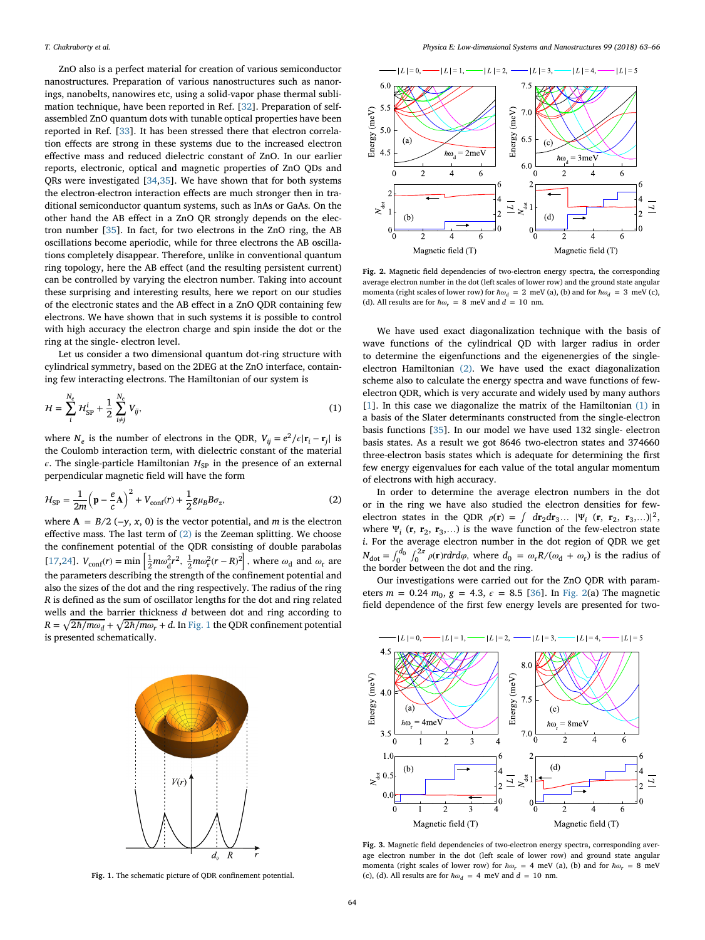ZnO also is a perfect material for creation of various semiconductor nanostructures. Preparation of various nanostructures such as nanorings, nanobelts, nanowires etc, using a solid-vapor phase thermal sublimation technique, have been reported in Ref. [\[32\]](#page-3-16). Preparation of selfassembled ZnO quantum dots with tunable optical properties have been reported in Ref. [\[33\]](#page-3-17). It has been stressed there that electron correlation effects are strong in these systems due to the increased electron effective mass and reduced dielectric constant of ZnO. In our earlier reports, electronic, optical and magnetic properties of ZnO QDs and QRs were investigated [\[34,](#page-3-18)[35\]](#page-3-19). We have shown that for both systems the electron-electron interaction effects are much stronger then in traditional semiconductor quantum systems, such as InAs or GaAs. On the other hand the AB effect in a ZnO QR strongly depends on the electron number [\[35\]](#page-3-19). In fact, for two electrons in the ZnO ring, the AB oscillations become aperiodic, while for three electrons the AB oscillations completely disappear. Therefore, unlike in conventional quantum ring topology, here the AB effect (and the resulting persistent current) can be controlled by varying the electron number. Taking into account these surprising and interesting results, here we report on our studies of the electronic states and the AB effect in a ZnO QDR containing few electrons. We have shown that in such systems it is possible to control with high accuracy the electron charge and spin inside the dot or the ring at the single- electron level.

Let us consider a two dimensional quantum dot-ring structure with cylindrical symmetry, based on the 2DEG at the ZnO interface, containing few interacting electrons. The Hamiltonian of our system is

$$
\mathcal{H} = \sum_{i}^{N_e} \mathcal{H}_{\text{SP}}^i + \frac{1}{2} \sum_{i \neq j}^{N_e} V_{ij}, \tag{1}
$$

where *N<sub>e</sub>* is the number of electrons in the QDR,  $V_{ii} = e^2/e|\mathbf{r}_i - \mathbf{r}_i|$  is the Coulomb interaction term, with dielectric constant of the material  $\epsilon$ . The single-particle Hamiltonian  $\mathcal{H}_{\text{sp}}$  in the presence of an external perpendicular magnetic field will have the form

$$
\mathcal{H}_{\rm SP} = \frac{1}{2m} \left( \mathbf{p} - \frac{e}{c} \mathbf{A} \right)^2 + V_{\rm conf}(r) + \frac{1}{2} g \mu_B B \sigma_z, \tag{2}
$$

where  $A = B/2$  (−*y*, *x*, 0) is the vector potential, and *m* is the electron effective mass. The last term of [\(2\)](#page-1-0) is the Zeeman splitting. We choose the confinement potential of the QDR consisting of double parabolas [\[17](#page-3-5)[,24\]](#page-3-20).  $V_{\text{conf}}(r) = \min \left[ \frac{1}{2} m \omega_d^2 r^2, \frac{1}{2} m \omega_r^2 (r - R)^2 \right]$ , where  $\omega_d$  and  $\omega_r$  are the parameters describing the strength of the confinement potential and also the sizes of the dot and the ring respectively. The radius of the ring *R* is defined as the sum of oscillator lengths for the dot and ring related wells and the barrier thickness *d* between dot and ring according to  $R = \sqrt{2\hbar/m\omega_d} + \sqrt{2\hbar/m\omega_r} + d$ . In [Fig. 1](#page-1-1) the QDR confinement potential is presented schematically.





<span id="page-1-3"></span>Fig. 2. Magnetic field dependencies of two-electron energy spectra, the corresponding average electron number in the dot (left scales of lower row) and the ground state angular momenta (right scales of lower row) for  $\hbar \omega_d = 2$  meV (a), (b) and for  $\hbar \omega_d = 3$  meV (c), (d). All results are for  $\hbar \omega_r = 8$  meV and  $\tilde{d} = 10$  nm.

<span id="page-1-2"></span>We have used exact diagonalization technique with the basis of wave functions of the cylindrical QD with larger radius in order to determine the eigenfunctions and the eigenenergies of the singleelectron Hamiltonian [\(2\).](#page-1-0) We have used the exact diagonalization scheme also to calculate the energy spectra and wave functions of fewelectron QDR, which is very accurate and widely used by many authors [\[1\]](#page-2-0). In this case we diagonalize the matrix of the Hamiltonian [\(1\)](#page-1-2) in a basis of the Slater determinants constructed from the single-electron basis functions [\[35\]](#page-3-19). In our model we have used 132 single- electron basis states. As a result we got 8646 two-electron states and 374660 three-electron basis states which is adequate for determining the first few energy eigenvalues for each value of the total angular momentum of electrons with high accuracy.

<span id="page-1-0"></span>In order to determine the average electron numbers in the dot or in the ring we have also studied the electron densities for fewelectron states in the QDR  $\rho(\mathbf{r}) = \int d\mathbf{r}_2 d\mathbf{r}_3 ... |\Psi_i(\mathbf{r}, \mathbf{r}_2, \mathbf{r}_3, ...) |^2$ , where  $\Psi_i$  (**r**, **r**<sub>2</sub>, **r**<sub>3</sub>,...) is the wave function of the few-electron state *i*. For the average electron number in the dot region of QDR we get  $N_{dot} = \int_0^{d_0} \int_0^{2\pi} \rho(\mathbf{r}) r dr d\varphi$ , where  $d_0 = \omega_r R/(\omega_d + \omega_r)$  is the radius of the border between the dot and the ring.

Our investigations were carried out for the ZnO QDR with parameters  $m = 0.24$   $m_0$ ,  $g = 4.3$ ,  $\epsilon = 8.5$  [\[36\]](#page-3-21). In [Fig. 2\(](#page-1-3)a) The magnetic field dependence of the first few energy levels are presented for two-



<span id="page-1-4"></span><span id="page-1-1"></span>Fig. 3. Magnetic field dependencies of two-electron energy spectra, corresponding average electron number in the dot (left scale of lower row) and ground state angular momenta (right scales of lower row) for  $\hbar \omega_r = 4$  meV (a), (b) and for  $\hbar \omega_r = 8$  meV (c), (d). All results are for  $\hbar \omega_d = 4$  meV and  $d = 10$  nm.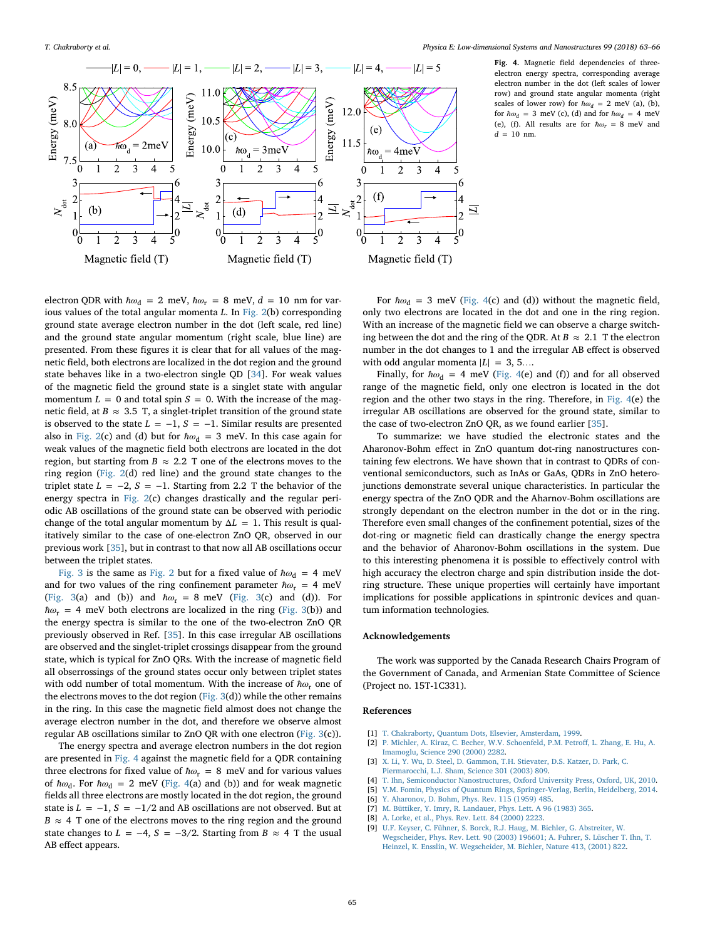

Fig. 4. Magnetic field dependencies of threeelectron energy spectra, corresponding average electron number in the dot (left scales of lower row) and ground state angular momenta (right scales of lower row) for  $\hbar \omega_d = 2$  meV (a), (b), for  $\hbar\omega_d = 3$  meV (c), (d) and for  $\hbar\omega_d = 4$  meV (e), (f). All results are for  $\hbar \omega_r = 8$  meV and  $d = 10$  nm.

electron QDR with  $\hbar\omega_d = 2$  meV,  $\hbar\omega_r = 8$  meV,  $d = 10$  nm for various values of the total angular momenta *L*. In [Fig. 2\(](#page-1-3)b) corresponding ground state average electron number in the dot (left scale, red line) and the ground state angular momentum (right scale, blue line) are presented. From these figures it is clear that for all values of the magnetic field, both electrons are localized in the dot region and the ground state behaves like in a two-electron single QD [\[34\]](#page-3-18). For weak values of the magnetic field the ground state is a singlet state with angular momentum  $L = 0$  and total spin  $S = 0$ . With the increase of the magnetic field, at  $B \approx 3.5$  T, a singlet-triplet transition of the ground state is observed to the state  $L = -1$ ,  $S = -1$ . Similar results are presented also in [Fig. 2\(](#page-1-3)c) and (d) but for  $\hbar\omega_d = 3$  meV. In this case again for weak values of the magnetic field both electrons are located in the dot region, but starting from  $B \approx 2.2$  T one of the electrons moves to the ring region [\(Fig. 2\(](#page-1-3)d) red line) and the ground state changes to the triplet state  $L = -2$ ,  $S = -1$ . Starting from 2.2 T the behavior of the energy spectra in [Fig. 2\(](#page-1-3)c) changes drastically and the regular periodic AB oscillations of the ground state can be observed with periodic change of the total angular momentum by  $\Delta L = 1$ . This result is qualitatively similar to the case of one-electron ZnO QR, observed in our previous work [\[35\]](#page-3-19), but in contrast to that now all AB oscillations occur between the triplet states.

[Fig. 3](#page-1-4) is the same as [Fig. 2](#page-1-3) but for a fixed value of  $\hbar\omega_d = 4$  meV and for two values of the ring confinement parameter  $\hbar \omega_r = 4$  meV [\(Fig. 3\(](#page-1-4)a) and (b)) and  $\hbar \omega_r = 8$  meV (Fig. 3(c) and (d)). For  $\hbar\omega_r$  = 4 meV both electrons are localized in the ring [\(Fig. 3\(](#page-1-4)b)) and the energy spectra is similar to the one of the two-electron ZnO QR previously observed in Ref. [\[35\]](#page-3-19). In this case irregular AB oscillations are observed and the singlet-triplet crossings disappear from the ground state, which is typical for ZnO QRs. With the increase of magnetic field all obserrossings of the ground states occur only between triplet states with odd number of total momentum. With the increase of *ħω*<sub>r</sub> one of the electrons moves to the dot region (Fig.  $3(d)$ ) while the other remains in the ring. In this case the magnetic field almost does not change the average electron number in the dot, and therefore we observe almost regular AB oscillations similar to ZnO QR with one electron [\(Fig. 3\(](#page-1-4)c)).

The energy spectra and average electron numbers in the dot region are presented in Fig. 4 against the magnetic field for a QDR containing three electrons for fixed value of  $\hbar\omega_{\rm r}$  = 8 meV and for various values of  $\hbar\omega_d$ . For  $\hbar\omega_d = 2$  meV (Fig. 4(a) and (b)) and for weak magnetic fields all three electrons are mostly located in the dot region, the ground state is  $L = -1$ ,  $S = -1/2$  and AB oscillations are not observed. But at  $B \approx 4$  T one of the electrons moves to the ring region and the ground state changes to  $L = -4$ ,  $S = -3/2$ . Starting from  $B \approx 4$  T the usual AB effect appears.

For  $\hbar\omega_{\rm d}$  = 3 meV (Fig. 4(c) and (d)) without the magnetic field, only two electrons are located in the dot and one in the ring region. With an increase of the magnetic field we can observe a charge switching between the dot and the ring of the QDR. At  $B \approx 2.1$  T the electron number in the dot changes to 1 and the irregular AB effect is observed with odd angular momenta  $|L| = 3, 5...$ 

Finally, for  $\hbar \omega_d = 4$  meV (Fig. 4(e) and (f)) and for all observed range of the magnetic field, only one electron is located in the dot region and the other two stays in the ring. Therefore, in Fig. 4(e) the irregular AB oscillations are observed for the ground state, similar to the case of two-electron ZnO QR, as we found earlier [\[35\]](#page-3-19).

To summarize: we have studied the electronic states and the Aharonov-Bohm effect in ZnO quantum dot-ring nanostructures containing few electrons. We have shown that in contrast to QDRs of conventional semiconductors, such as InAs or GaAs, QDRs in ZnO heterojunctions demonstrate several unique characteristics. In particular the energy spectra of the ZnO QDR and the Aharnov-Bohm oscillations are strongly dependant on the electron number in the dot or in the ring. Therefore even small changes of the confinement potential, sizes of the dot-ring or magnetic field can drastically change the energy spectra and the behavior of Aharonov-Bohm oscillations in the system. Due to this interesting phenomena it is possible to effectively control with high accuracy the electron charge and spin distribution inside the dotring structure. These unique properties will certainly have important implications for possible applications in spintronic devices and quantum information technologies.

### **Acknowledgements**

The work was supported by the Canada Research Chairs Program of the Government of Canada, and Armenian State Committee of Science (Project no. 15T-1C331).

### **References**

- <span id="page-2-0"></span>[1] [T. Chakraborty, Quantum Dots, Elsevier, Amsterdam, 1999.](http://refhub.elsevier.com/S1386-9477(17)31679-X/sref1)
- [2] [P. Michler, A. Kiraz, C. Becher, W.V. Schoenfeld, P.M. Petroff, L. Zhang, E. Hu, A.](http://refhub.elsevier.com/S1386-9477(17)31679-X/sref2) Imamoglu, Science 290 (2000) 2282.
- [3] [X. Li, Y. Wu, D. Steel, D. Gammon, T.H. Stievater, D.S. Katzer, D. Park, C.](http://refhub.elsevier.com/S1386-9477(17)31679-X/sref3) Piermarocchi, L.J. Sham, Science 301 (2003) 809.
- [4] T. Ihn, Semiconductor Nanostructures, [Oxford University Press, Oxford, UK, 2010.](http://refhub.elsevier.com/S1386-9477(17)31679-X/sref4)
- [5] [V.M. Fomin, Physics of Quantum Rings, Springer-Verlag, Berlin, Heidelberg, 2014.](http://refhub.elsevier.com/S1386-9477(17)31679-X/sref5) [6] [Y. Aharonov, D. Bohm, Phys. Rev. 115 \(1959\) 485.](http://refhub.elsevier.com/S1386-9477(17)31679-X/sref6)
- <span id="page-2-2"></span><span id="page-2-1"></span>[7] [M. Büttiker, Y. Imry, R. Landauer, Phys. Lett. A 96 \(1983\) 365.](http://refhub.elsevier.com/S1386-9477(17)31679-X/sref7)
- [8] A. Lorke, et al., *Phys. Rev. Lett.* 84 (2000) 2223.
- <span id="page-2-4"></span><span id="page-2-3"></span>[9] U.F. Keyser, C. Fühner, S. Borck, R.J. Haug, M. Bichler, G. Abstreiter, W. [Wegscheider, Phys. Rev. Lett. 90 \(2003\) 196601; A. Fuhrer, S. Lüscher T. Ihn, T.](http://refhub.elsevier.com/S1386-9477(17)31679-X/sref9) Heinzel, K. Ensslin, W. Wegscheider, M. Bichler, Nature 413, (2001) 822.